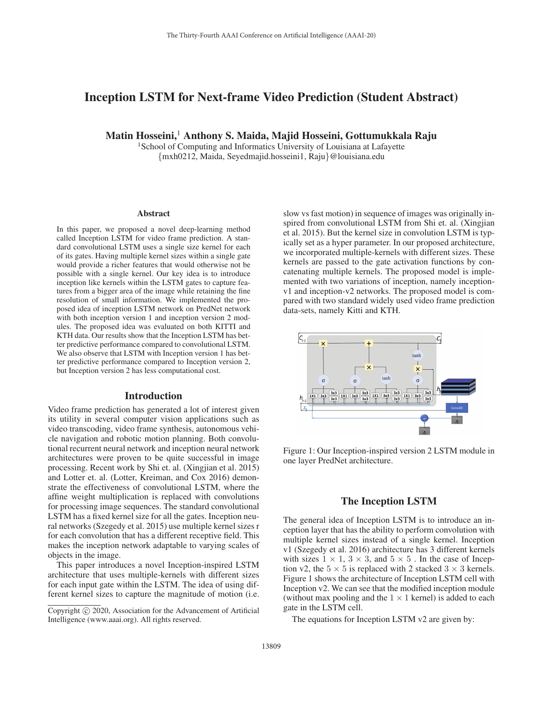# Inception LSTM for Next-frame Video Prediction (Student Abstract)

Matin Hosseini,<sup>1</sup> Anthony S. Maida, Majid Hosseini, Gottumukkala Raju

<sup>1</sup>School of Computing and Informatics University of Louisiana at Lafayette {mxh0212, Maida, Seyedmajid.hosseini1, Raju}@louisiana.edu

#### Abstract

In this paper, we proposed a novel deep-learning method called Inception LSTM for video frame prediction. A standard convolutional LSTM uses a single size kernel for each of its gates. Having multiple kernel sizes within a single gate would provide a richer features that would otherwise not be possible with a single kernel. Our key idea is to introduce inception like kernels within the LSTM gates to capture features from a bigger area of the image while retaining the fine resolution of small information. We implemented the proposed idea of inception LSTM network on PredNet network with both inception version 1 and inception version 2 modules. The proposed idea was evaluated on both KITTI and KTH data. Our results show that the Inception LSTM has better predictive performance compared to convolutional LSTM. We also observe that LSTM with Inception version 1 has better predictive performance compared to Inception version 2, but Inception version 2 has less computational cost.

### Introduction

Video frame prediction has generated a lot of interest given its utility in several computer vision applications such as video transcoding, video frame synthesis, autonomous vehicle navigation and robotic motion planning. Both convolutional recurrent neural network and inception neural network architectures were proven to be quite successful in image processing. Recent work by Shi et. al. (Xingjian et al. 2015) and Lotter et. al. (Lotter, Kreiman, and Cox 2016) demonstrate the effectiveness of convolutional LSTM, where the affine weight multiplication is replaced with convolutions for processing image sequences. The standard convolutional LSTM has a fixed kernel size for all the gates. Inception neural networks (Szegedy et al. 2015) use multiple kernel sizes r for each convolution that has a different receptive field. This makes the inception network adaptable to varying scales of objects in the image.

This paper introduces a novel Inception-inspired LSTM architecture that uses multiple-kernels with different sizes for each input gate within the LSTM. The idea of using different kernel sizes to capture the magnitude of motion (i.e.

slow vs fast motion) in sequence of images was originally inspired from convolutional LSTM from Shi et. al. (Xingjian et al. 2015). But the kernel size in convolution LSTM is typically set as a hyper parameter. In our proposed architecture, we incorporated multiple-kernels with different sizes. These kernels are passed to the gate activation functions by concatenating multiple kernels. The proposed model is implemented with two variations of inception, namely inceptionv1 and inception-v2 networks. The proposed model is compared with two standard widely used video frame prediction data-sets, namely Kitti and KTH.



Figure 1: Our Inception-inspired version 2 LSTM module in one layer PredNet architecture.

## The Inception LSTM

The general idea of Inception LSTM is to introduce an inception layer that has the ability to perform convolution with multiple kernel sizes instead of a single kernel. Inception v1 (Szegedy et al. 2016) architecture has 3 different kernels with sizes  $1 \times 1$ ,  $3 \times 3$ , and  $5 \times 5$ . In the case of Inception v2, the  $5 \times 5$  is replaced with 2 stacked  $3 \times 3$  kernels. Figure 1 shows the architecture of Inception LSTM cell with Inception v2. We can see that the modified inception module (without max pooling and the  $1 \times 1$  kernel) is added to each gate in the LSTM cell.

The equations for Inception LSTM v2 are given by:

Copyright  $\odot$  2020, Association for the Advancement of Artificial Intelligence (www.aaai.org). All rights reserved.